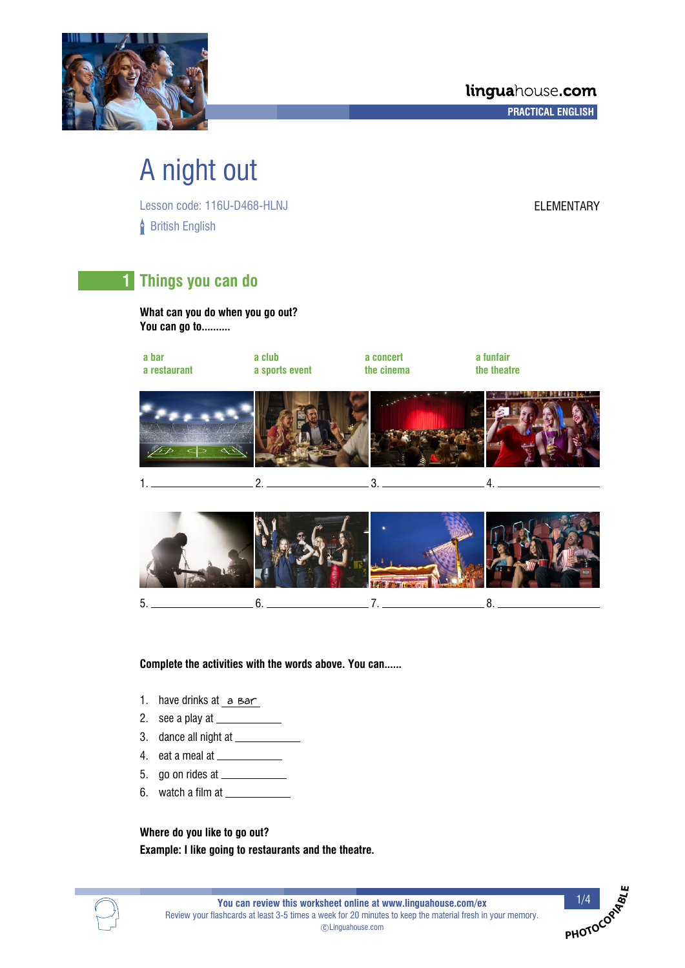

# A night out

Lesson code: 116U-D468-HLNJ ELEMENTARY **British English** 

# **1 Things you can do**

**What can you do when you go out? You can go to..........**



**Complete the activities with the words above. You can......**

- 1. have drinks at a Bar
- 2. see a play at
- 3. dance all night at
- 4. eat a meal at
- 5. go on rides at
- 6. watch a film at

**Where do you like to go out? Example: I like going to restaurants and the theatre.**





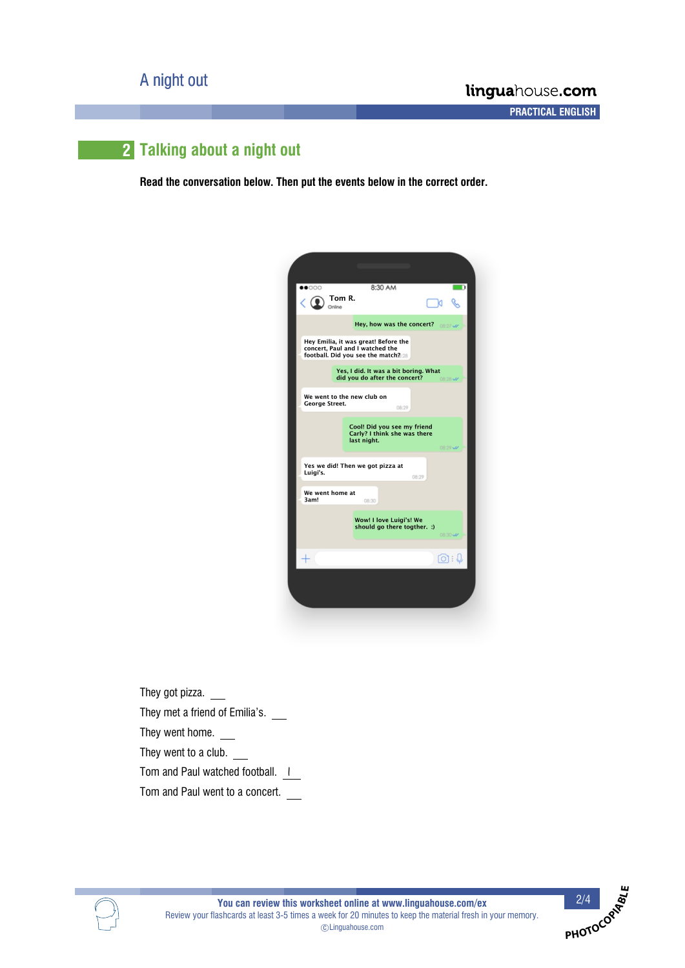# **2 Talking about a night out**

**Read the conversation below. Then put the events below in the correct order.**



They got pizza. They met a friend of Emilia's. They went home. They went to a club. Tom and Paul watched football. Tom and Paul went to a concert.



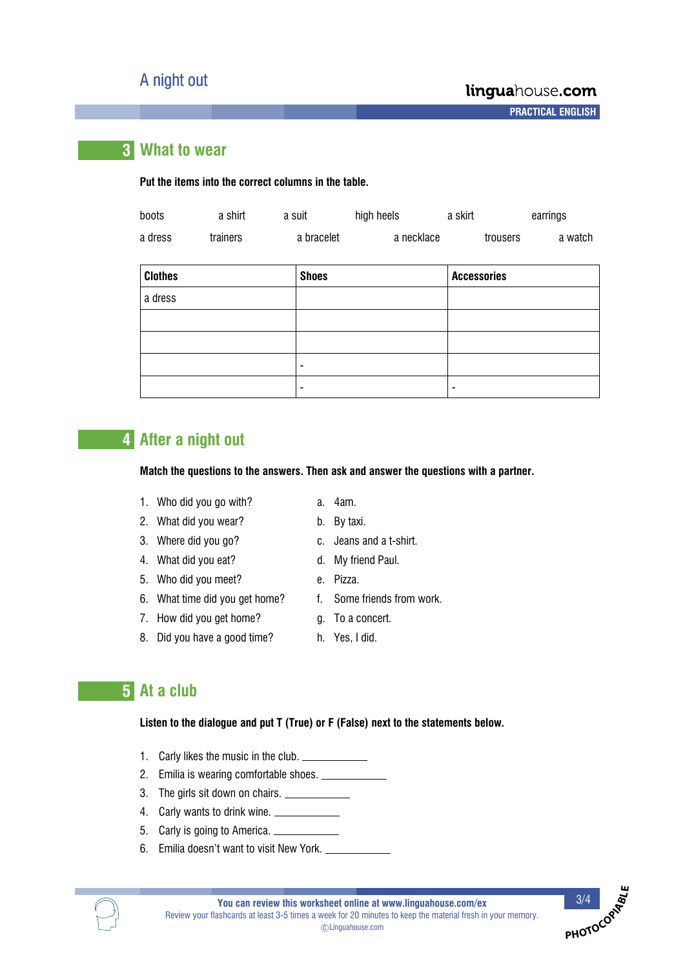**A A A A PRACTICAL ENGLISH**

### **3 What to wear**

### **Put the items into the correct columns in the table.**

| boots   | a shirt  | a suit     | high heels | a skirt |          | earrings |
|---------|----------|------------|------------|---------|----------|----------|
| a dress | trainers | a bracelet | a necklace |         | trousers | a watch  |

| <b>Clothes</b> | <b>Shoes</b> | <b>Accessories</b>       |
|----------------|--------------|--------------------------|
| a dress        |              |                          |
|                |              |                          |
|                |              |                          |
|                | -            |                          |
|                |              | $\overline{\phantom{a}}$ |

### **4 After a night out**

**Match the questions to the answers. Then ask and answer the questions with a partner.**

- 1. Who did you go with? a. 4am.
- 2. What did you wear? b. By taxi.
- 
- 4. What did you eat? d. My friend Paul.
- 5. Who did you meet? e. Pizza.
- 6. What time did you get home? f. Some friends from work.
- 7. How did you get home? g. To a concert.
- 8. Did you have a good time? h. Yes, I did.
- 
- 
- 3. Where did you go? c. Jeans and a t-shirt.
	-
	-
	-
	-
	-

### **5 At a club**

**Listen to the dialogue and put T (True) or F (False) next to the statements below.**

- 1. Carly likes the music in the club.
- 2. Emilia is wearing comfortable shoes.
- 3. The girls sit down on chairs.
- 4. Carly wants to drink wine.
- 5. Carly is going to America.
- 6. Emilia doesn't want to visit New York.

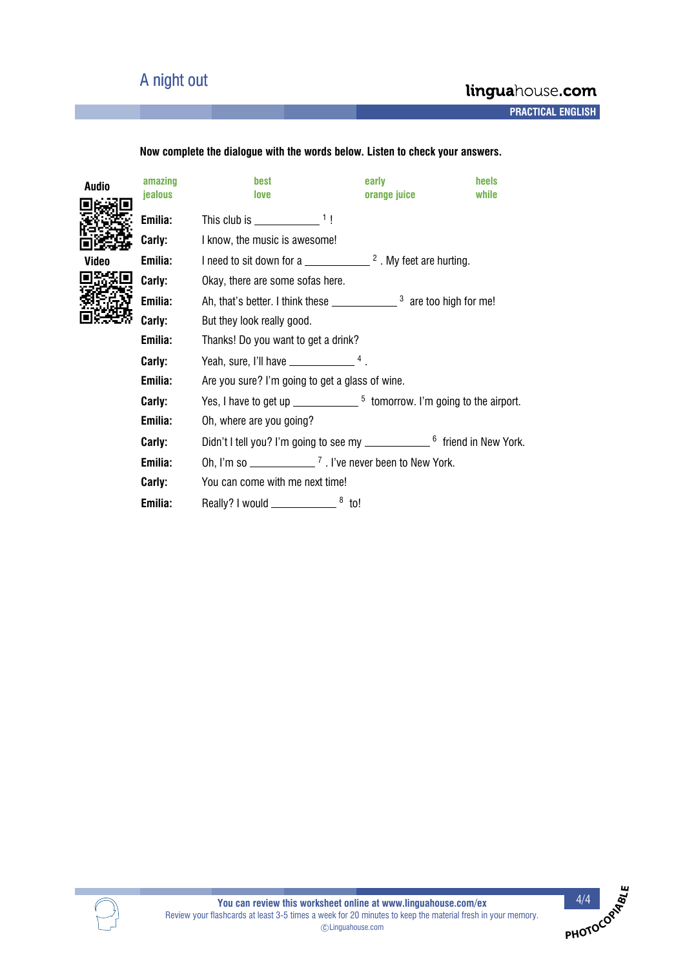# A night out

# linguahouse.com

**A A A A PRACTICAL ENGLISH**

### **Now complete the dialogue with the words below. Listen to check your answers.**

| <b>Audio</b>                                                                   | amazing | <b>best</b>                                                                 |  | early                                                                       | heels |  |
|--------------------------------------------------------------------------------|---------|-----------------------------------------------------------------------------|--|-----------------------------------------------------------------------------|-------|--|
|                                                                                | jealous | love                                                                        |  | orange juice                                                                | while |  |
|                                                                                | Emilia: | This club is $\frac{1}{2}$                                                  |  |                                                                             |       |  |
|                                                                                |         | <b>Carly:</b> I know, the music is awesome!                                 |  |                                                                             |       |  |
| <b>Video</b>                                                                   | Emilia: | I need to sit down for a $\frac{2}{1}$ $\frac{2}{1}$ . My feet are hurting. |  |                                                                             |       |  |
|                                                                                | Carly:  | Okay, there are some sofas here.                                            |  |                                                                             |       |  |
| Ah, that's better. I think these $\frac{3}{2}$ are too high for me!<br>Emilia: |         |                                                                             |  |                                                                             |       |  |
|                                                                                | Carly:  | But they look really good.                                                  |  |                                                                             |       |  |
|                                                                                | Emilia: | Thanks! Do you want to get a drink?                                         |  |                                                                             |       |  |
|                                                                                | Carly:  | Yeah, sure, I'll have $\frac{4}{1}$ .                                       |  |                                                                             |       |  |
|                                                                                | Emilia: | Are you sure? I'm going to get a glass of wine.                             |  |                                                                             |       |  |
|                                                                                | Carly:  |                                                                             |  | Yes, I have to get up $\frac{5}{2}$ tomorrow. I'm going to the airport.     |       |  |
|                                                                                | Emilia: | Oh, where are you going?                                                    |  |                                                                             |       |  |
|                                                                                | Carly:  |                                                                             |  | Didn't I tell you? I'm going to see my _______________6 friend in New York. |       |  |
|                                                                                | Emilia: | Oh, I'm so $\frac{1}{2}$ . I've never been to New York.                     |  |                                                                             |       |  |
|                                                                                | Carly:  | You can come with me next time!                                             |  |                                                                             |       |  |
|                                                                                | Emilia: |                                                                             |  |                                                                             |       |  |
|                                                                                |         |                                                                             |  |                                                                             |       |  |



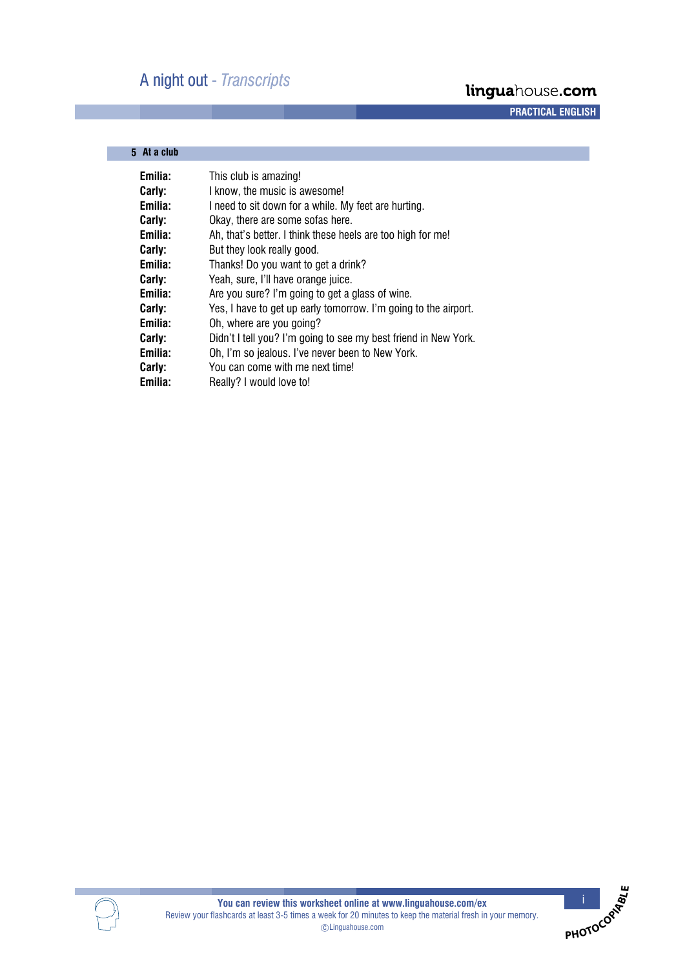# A night out - *Transcripts*

## linguahouse.com

**A A A A PRACTICAL ENGLISH**

### **5**- **At a club**

| Emilia: | This club is amazing!                                           |
|---------|-----------------------------------------------------------------|
| Carly:  | I know, the music is awesome!                                   |
| Emilia: | I need to sit down for a while. My feet are hurting.            |
| Carly:  | Okay, there are some sofas here.                                |
| Emilia: | Ah, that's better. I think these heels are too high for me!     |
| Carly:  | But they look really good.                                      |
| Emilia: | Thanks! Do you want to get a drink?                             |
| Carly:  | Yeah, sure, I'll have orange juice.                             |
| Emilia: | Are you sure? I'm going to get a glass of wine.                 |
| Carly:  | Yes, I have to get up early tomorrow. I'm going to the airport. |
| Emilia: | Oh, where are you going?                                        |
| Carly:  | Didn't I tell you? I'm going to see my best friend in New York. |
| Emilia: | Oh, I'm so jealous. I've never been to New York.                |
| Carly:  | You can come with me next time!                                 |
| Emilia: | Really? I would love to!                                        |